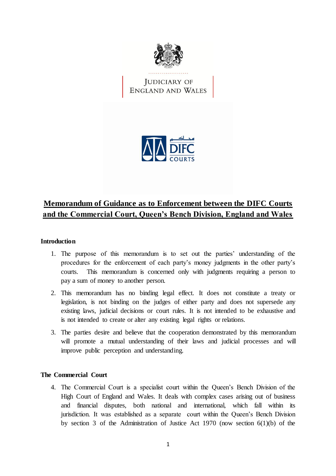

JUDICIARY OF<br>ENGLAND AND WALES



# **Memorandum of Guidance as to Enforcement between the DIFC Courts and the Commercial Court, Queen's Bench Division, England and Wales**

# **Introduction**

- 1. The purpose of this memorandum is to set out the parties' understanding of the procedures for the enforcement of each party's money judgments in the other party's courts. This memorandum is concerned only with judgments requiring a person to pay a sum of money to another person.
- 2. This memorandum has no binding legal effect. It does not constitute a treaty or legislation, is not binding on the judges of either party and does not supersede any existing laws, judicial decisions or court rules. It is not intended to be exhaustive and is not intended to create or alter any existing legal rights or relations.
- 3. The parties desire and believe that the cooperation demonstrated by this memorandum will promote a mutual understanding of their laws and judicial processes and will improve public perception and understanding.

## **The Commercial Court**

4. The Commercial Court is a specialist court within the Queen's Bench Division of the High Court of England and Wales. It deals with complex cases arising out of business and financial disputes, both national and international, which fall within its jurisdiction. It was established as a separate court within the Queen's Bench Division by section 3 of the Administration of Justice Act 1970 (now section 6(1)(b) of the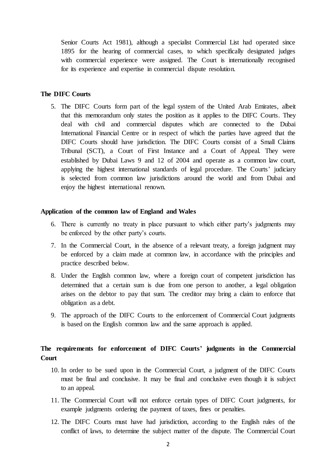Senior Courts Act 1981), although a specialist Commercial List had operated since 1895 for the hearing of commercial cases, to which specifically designated judges with commercial experience were assigned. The Court is internationally recognised for its experience and expertise in commercial dispute resolution.

### **The DIFC Courts**

5. The DIFC Courts form part of the legal system of the United Arab Emirates, albeit that this memorandum only states the position as it applies to the DIFC Courts. They deal with civil and commercial disputes which are connected to the Dubai International Financial Centre or in respect of which the parties have agreed that the DIFC Courts should have jurisdiction. The DIFC Courts consist of a Small Claims Tribunal (SCT), a Court of First Instance and a Court of Appeal. They were established by Dubai Laws 9 and 12 of 2004 and operate as a common law court, applying the highest international standards of legal procedure. The Courts' judiciary is selected from common law jurisdictions around the world and from Dubai and enjoy the highest international renown.

### **Application of the common law of England and Wales**

- 6. There is currently no treaty in place pursuant to which either party's judgments may be enforced by the other party's courts.
- 7. In the Commercial Court, in the absence of a relevant treaty, a foreign judgment may be enforced by a claim made at common law, in accordance with the principles and practice described below.
- 8. Under the English common law, where a foreign court of competent jurisdiction has determined that a certain sum is due from one person to another, a legal obligation arises on the debtor to pay that sum. The creditor may bring a claim to enforce that obligation as a debt.
- 9. The approach of the DIFC Courts to the enforcement of Commercial Court judgments is based on the English common law and the same approach is applied.

# **The requirements for enforcement of DIFC Courts' judgments in the Commercial Court**

- 10. In order to be sued upon in the Commercial Court, a judgment of the DIFC Courts must be final and conclusive. It may be final and conclusive even though it is subject to an appeal.
- 11. The Commercial Court will not enforce certain types of DIFC Court judgments, for example judgments ordering the payment of taxes, fines or penalties.
- <span id="page-1-0"></span>12. The DIFC Courts must have had jurisdiction, according to the English rules of the conflict of laws, to determine the subject matter of the dispute. The Commercial Court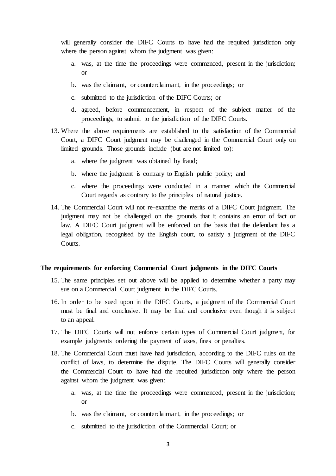will generally consider the DIFC Courts to have had the required jurisdiction only where the person against whom the judgment was given:

- a. was, at the time the proceedings were commenced, present in the jurisdiction; or
- b. was the claimant, or counterclaimant, in the proceedings; or
- c. submitted to the jurisdiction of the DIFC Courts; or
- d. agreed, before commencement, in respect of the subject matter of the proceedings, to submit to the jurisdiction of the DIFC Courts.
- <span id="page-2-0"></span>13. Where the above requirements are established to the satisfaction of the Commercial Court, a DIFC Court judgment may be challenged in the Commercial Court only on limited grounds. Those grounds include (but are not limited to):
	- a. where the judgment was obtained by fraud;
	- b. where the judgment is contrary to English public policy; and
	- c. where the proceedings were conducted in a manner which the Commercial Court regards as contrary to the principles of natural justice.
- 14. The Commercial Court will not re-examine the merits of a DIFC Court judgment. The judgment may not be challenged on the grounds that it contains an error of fact or law. A DIFC Court judgment will be enforced on the basis that the defendant has a legal obligation, recognised by the English court, to satisfy a judgment of the DIFC Courts.

#### **The requirements for enforcing Commercial Court judgments in the DIFC Courts**

- 15. The same principles set out above will be applied to determine whether a party may sue on a Commercial Court judgment in the DIFC Courts.
- 16. In order to be sued upon in the DIFC Courts, a judgment of the Commercial Court must be final and conclusive. It may be final and conclusive even though it is subject to an appeal.
- 17. The DIFC Courts will not enforce certain types of Commercial Court judgment, for example judgments ordering the payment of taxes, fines or penalties.
- <span id="page-2-1"></span>18. The Commercial Court must have had jurisdiction, according to the DIFC rules on the conflict of laws, to determine the dispute. The DIFC Courts will generally consider the Commercial Court to have had the required jurisdiction only where the person against whom the judgment was given:
	- a. was, at the time the proceedings were commenced, present in the jurisdiction; or
	- b. was the claimant, or counterclaimant, in the proceedings; or
	- c. submitted to the jurisdiction of the Commercial Court; or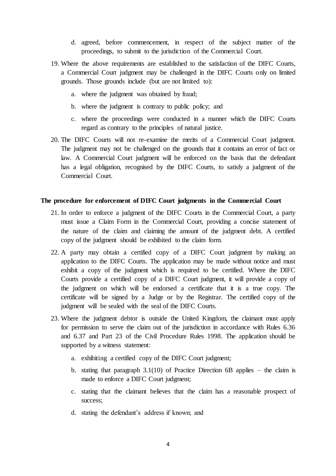- d. agreed, before commencement, in respect of the subject matter of the proceedings, to submit to the jurisdiction of the Commercial Court.
- <span id="page-3-0"></span>19. Where the above requirements are established to the satisfaction of the DIFC Courts, a Commercial Court judgment may be challenged in the DIFC Courts only on limited grounds. Those grounds include (but are not limited to):
	- a. where the judgment was obtained by fraud;
	- b. where the judgment is contrary to public policy; and
	- c. where the proceedings were conducted in a manner which the DIFC Courts regard as contrary to the principles of natural justice.
- 20. The DIFC Courts will not re-examine the merits of a Commercial Court judgment. The judgment may not be challenged on the grounds that it contains an error of fact or law. A Commercial Court judgment will be enforced on the basis that the defendant has a legal obligation, recognised by the DIFC Courts, to satisfy a judgment of the Commercial Court.

### **The procedure for enforcement of DIFC Court judgments in the Commercial Court**

- 21. In order to enforce a judgment of the DIFC Courts in the Commercial Court, a party must issue a Claim Form in the Commercial Court, providing a concise statement of the nature of the claim and claiming the amount of the judgment debt. A certified copy of the judgment should be exhibited to the claim form.
- 22. A party may obtain a certified copy of a DIFC Court judgment by making an application to the DIFC Courts. The application may be made without notice and must exhibit a copy of the judgment which is required to be certified. Where the DIFC Courts provide a certified copy of a DIFC Court judgment, it will provide a copy of the judgment on which will be endorsed a certificate that it is a true copy. The certificate will be signed by a Judge or by the Registrar. The certified copy of the judgment will be sealed with the seal of the DIFC Courts.
- 23. Where the judgment debtor is outside the United Kingdom, the claimant must apply for permission to serve the claim out of the jurisdiction in accordance with Rules 6.36 and 6.37 and Part 23 of the Civil Procedure Rules 1998. The application should be supported by a witness statement:
	- a. exhibiting a certified copy of the DIFC Court judgment;
	- b. stating that paragraph  $3.1(10)$  of Practice Direction 6B applies the claim is made to enforce a DIFC Court judgment;
	- c. stating that the claimant believes that the claim has a reasonable prospect of success;
	- d. stating the defendant's address if known; and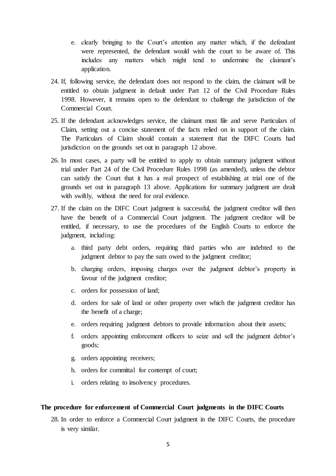- e. clearly bringing to the Court's attention any matter which, if the defendant were represented, the defendant would wish the court to be aware of. This includes any matters which might tend to undermine the claimant's application.
- 24. If, following service, the defendant does not respond to the claim, the claimant will be entitled to obtain judgment in default under Part 12 of the Civil Procedure Rules 1998. However, it remains open to the defendant to challenge the jurisdiction of the Commercial Court.
- 25. If the defendant acknowledges service, the claimant must file and serve Particulars of Claim, setting out a concise statement of the facts relied on in support of the claim. The Particulars of Claim should contain a statement that the DIFC Courts had jurisdiction on the grounds set out in paragraph [12](#page-1-0) above.
- 26. In most cases, a party will be entitled to apply to obtain summary judgment without trial under Part 24 of the Civil Procedure Rules 1998 (as amended), unless the debtor can satisfy the Court that it has a real prospect of establishing at trial one of the grounds set out in paragrap[h 13](#page-2-0) above. Applications for summary judgment are dealt with swiftly, without the need for oral evidence.
- 27. If the claim on the DIFC Court judgment is successful, the judgment creditor will then have the benefit of a Commercial Court judgment. The judgment creditor will be entitled, if necessary, to use the procedures of the English Courts to enforce the judgment, including:
	- a. third party debt orders, requiring third parties who are indebted to the judgment debtor to pay the sum owed to the judgment creditor;
	- b. charging orders, imposing charges over the judgment debtor's property in favour of the judgment creditor;
	- c. orders for possession of land;
	- d. orders for sale of land or other property over which the judgment creditor has the benefit of a charge;
	- e. orders requiring judgment debtors to provide information about their assets;
	- f. orders appointing enforcement officers to seize and sell the judgment debtor's goods;
	- g. orders appointing receivers;
	- h. orders for committal for contempt of court;
	- i. orders relating to insolvency procedures.

### **The procedure for enforcement of Commercial Court judgments in the DIFC Courts**

28. In order to enforce a Commercial Court judgment in the DIFC Courts, the procedure is very similar.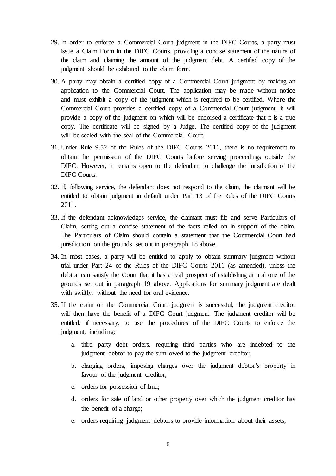- 29. In order to enforce a Commercial Court judgment in the DIFC Courts, a party must issue a Claim Form in the DIFC Courts, providing a concise statement of the nature of the claim and claiming the amount of the judgment debt. A certified copy of the judgment should be exhibited to the claim form.
- 30. A party may obtain a certified copy of a Commercial Court judgment by making an application to the Commercial Court. The application may be made without notice and must exhibit a copy of the judgment which is required to be certified. Where the Commercial Court provides a certified copy of a Commercial Court judgment, it will provide a copy of the judgment on which will be endorsed a certificate that it is a true copy. The certificate will be signed by a Judge. The certified copy of the judgment will be sealed with the seal of the Commercial Court.
- 31. Under Rule 9.52 of the Rules of the DIFC Courts 2011, there is no requirement to obtain the permission of the DIFC Courts before serving proceedings outside the DIFC. However, it remains open to the defendant to challenge the jurisdiction of the DIFC Courts.
- 32. If, following service, the defendant does not respond to the claim, the claimant will be entitled to obtain judgment in default under Part 13 of the Rules of the DIFC Courts 2011.
- 33. If the defendant acknowledges service, the claimant must file and serve Particulars of Claim, setting out a concise statement of the facts relied on in support of the claim. The Particulars of Claim should contain a statement that the Commercial Court had jurisdiction on the grounds set out in paragraph [18](#page-2-1) above.
- 34. In most cases, a party will be entitled to apply to obtain summary judgment without trial under Part 24 of the Rules of the DIFC Courts 2011 (as amended), unless the debtor can satisfy the Court that it has a real prospect of establishing at trial one of the grounds set out in paragrap[h 19](#page-3-0) above. Applications for summary judgment are dealt with swiftly, without the need for oral evidence.
- 35. If the claim on the Commercial Court judgment is successful, the judgment creditor will then have the benefit of a DIFC Court judgment. The judgment creditor will be entitled, if necessary, to use the procedures of the DIFC Courts to enforce the judgment, including:
	- a. third party debt orders, requiring third parties who are indebted to the judgment debtor to pay the sum owed to the judgment creditor;
	- b. charging orders, imposing charges over the judgment debtor's property in favour of the judgment creditor;
	- c. orders for possession of land;
	- d. orders for sale of land or other property over which the judgment creditor has the benefit of a charge;
	- e. orders requiring judgment debtors to provide information about their assets;